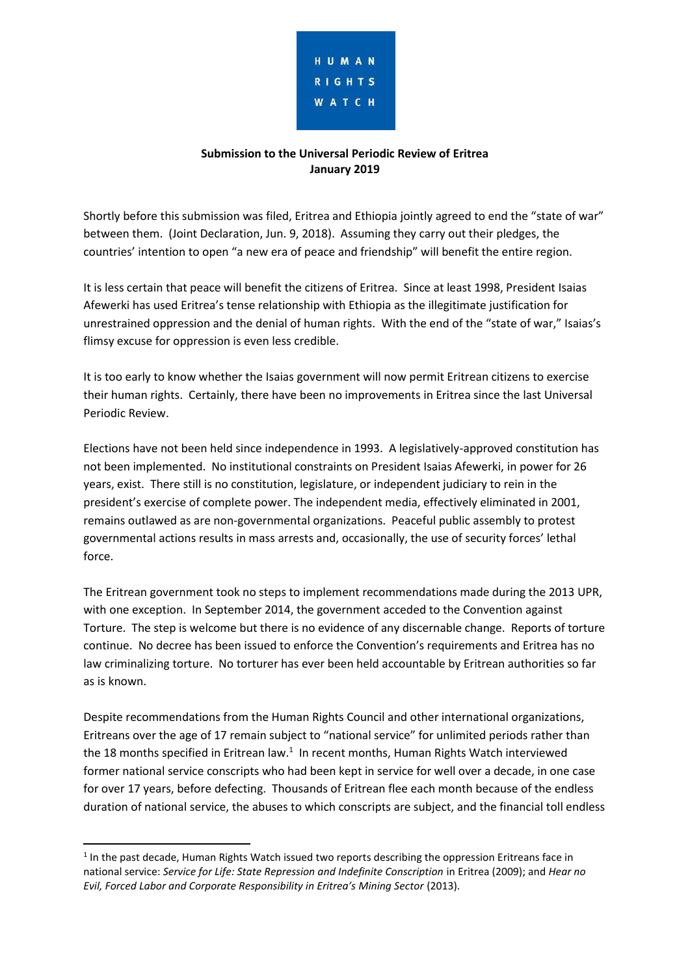

### **Submission to the Universal Periodic Review of Eritrea January 2019**

Shortly before this submission was filed, Eritrea and Ethiopia jointly agreed to end the "state of war" between them. (Joint Declaration, Jun. 9, 2018). Assuming they carry out their pledges, the countries' intention to open "a new era of peace and friendship" will benefit the entire region.

It is less certain that peace will benefit the citizens of Eritrea. Since at least 1998, President Isaias Afewerki has used Eritrea's tense relationship with Ethiopia as the illegitimate justification for unrestrained oppression and the denial of human rights. With the end of the "state of war," Isaias's flimsy excuse for oppression is even less credible.

It is too early to know whether the Isaias government will now permit Eritrean citizens to exercise their human rights. Certainly, there have been no improvements in Eritrea since the last Universal Periodic Review.

Elections have not been held since independence in 1993. A legislatively-approved constitution has not been implemented. No institutional constraints on President Isaias Afewerki, in power for 26 years, exist. There still is no constitution, legislature, or independent judiciary to rein in the president's exercise of complete power. The independent media, effectively eliminated in 2001, remains outlawed as are non-governmental organizations. Peaceful public assembly to protest governmental actions results in mass arrests and, occasionally, the use of security forces' lethal force.

The Eritrean government took no steps to implement recommendations made during the 2013 UPR, with one exception. In September 2014, the government acceded to the Convention against Torture. The step is welcome but there is no evidence of any discernable change. Reports of torture continue. No decree has been issued to enforce the Convention's requirements and Eritrea has no law criminalizing torture. No torturer has ever been held accountable by Eritrean authorities so far as is known.

Despite recommendations from the Human Rights Council and other international organizations, Eritreans over the age of 17 remain subject to "national service" for unlimited periods rather than the 18 months specified in Eritrean law.<sup>1</sup> In recent months, Human Rights Watch interviewed former national service conscripts who had been kept in service for well over a decade, in one case for over 17 years, before defecting. Thousands of Eritrean flee each month because of the endless duration of national service, the abuses to which conscripts are subject, and the financial toll endless

**.** 

<sup>&</sup>lt;sup>1</sup> In the past decade, Human Rights Watch issued two reports describing the oppression Eritreans face in national service: *Service for Life: State Repression and Indefinite Conscription* in Eritrea (2009); and *Hear no Evil, Forced Labor and Corporate Responsibility in Eritrea's Mining Sector* (2013).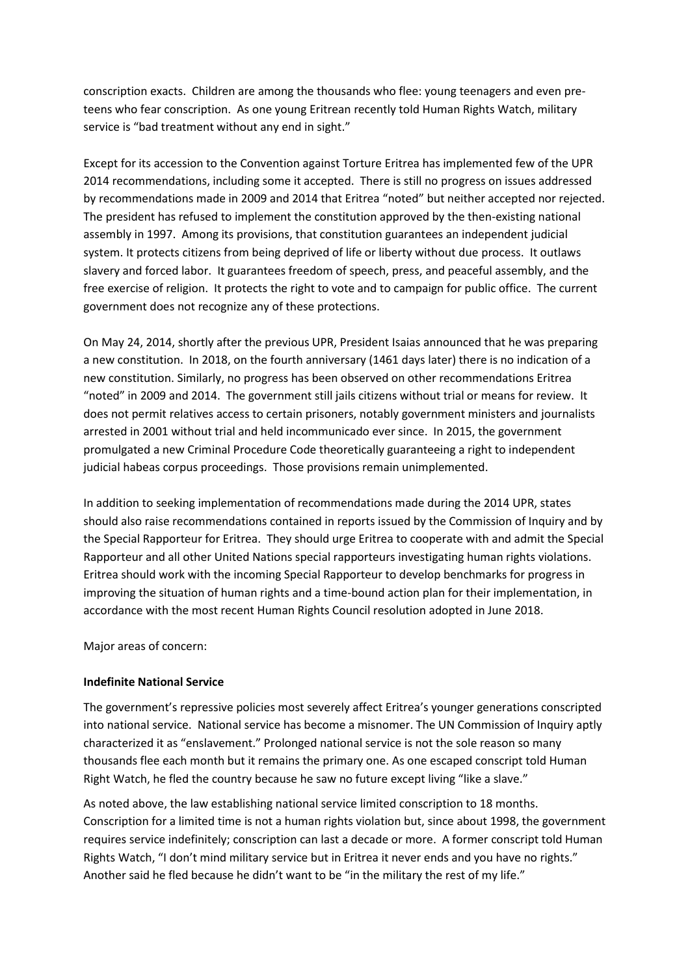conscription exacts. Children are among the thousands who flee: young teenagers and even preteens who fear conscription. As one young Eritrean recently told Human Rights Watch, military service is "bad treatment without any end in sight."

Except for its accession to the Convention against Torture Eritrea has implemented few of the UPR 2014 recommendations, including some it accepted. There is still no progress on issues addressed by recommendations made in 2009 and 2014 that Eritrea "noted" but neither accepted nor rejected. The president has refused to implement the constitution approved by the then-existing national assembly in 1997. Among its provisions, that constitution guarantees an independent judicial system. It protects citizens from being deprived of life or liberty without due process. It outlaws slavery and forced labor. It guarantees freedom of speech, press, and peaceful assembly, and the free exercise of religion. It protects the right to vote and to campaign for public office. The current government does not recognize any of these protections.

On May 24, 2014, shortly after the previous UPR, President Isaias announced that he was preparing a new constitution. In 2018, on the fourth anniversary (1461 days later) there is no indication of a new constitution. Similarly, no progress has been observed on other recommendations Eritrea "noted" in 2009 and 2014. The government still jails citizens without trial or means for review. It does not permit relatives access to certain prisoners, notably government ministers and journalists arrested in 2001 without trial and held incommunicado ever since. In 2015, the government promulgated a new Criminal Procedure Code theoretically guaranteeing a right to independent judicial habeas corpus proceedings. Those provisions remain unimplemented.

In addition to seeking implementation of recommendations made during the 2014 UPR, states should also raise recommendations contained in reports issued by the Commission of Inquiry and by the Special Rapporteur for Eritrea. They should urge Eritrea to cooperate with and admit the Special Rapporteur and all other United Nations special rapporteurs investigating human rights violations. Eritrea should work with the incoming Special Rapporteur to develop benchmarks for progress in improving the situation of human rights and a time-bound action plan for their implementation, in accordance with the most recent Human Rights Council resolution adopted in June 2018.

Major areas of concern:

#### **Indefinite National Service**

The government's repressive policies most severely affect Eritrea's younger generations conscripted into national service. National service has become a misnomer. The UN Commission of Inquiry aptly characterized it as "enslavement." Prolonged national service is not the sole reason so many thousands flee each month but it remains the primary one. As one escaped conscript told Human Right Watch, he fled the country because he saw no future except living "like a slave."

As noted above, the law establishing national service limited conscription to 18 months. Conscription for a limited time is not a human rights violation but, since about 1998, the government requires service indefinitely; conscription can last a decade or more. A former conscript told Human Rights Watch, "I don't mind military service but in Eritrea it never ends and you have no rights." Another said he fled because he didn't want to be "in the military the rest of my life."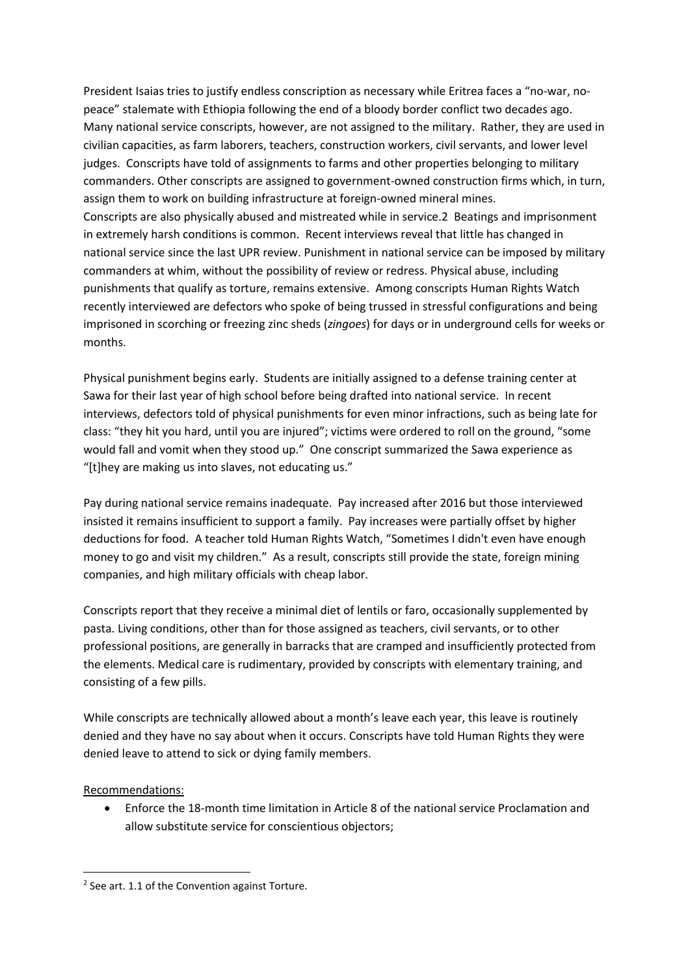President Isaias tries to justify endless conscription as necessary while Eritrea faces a "no-war, nopeace" stalemate with Ethiopia following the end of a bloody border conflict two decades ago. Many national service conscripts, however, are not assigned to the military. Rather, they are used in civilian capacities, as farm laborers, teachers, construction workers, civil servants, and lower level judges. Conscripts have told of assignments to farms and other properties belonging to military commanders. Other conscripts are assigned to government-owned construction firms which, in turn, assign them to work on building infrastructure at foreign-owned mineral mines. Conscripts are also physically abused and mistreated while in service.2 Beatings and imprisonment in extremely harsh conditions is common. Recent interviews reveal that little has changed in national service since the last UPR review. Punishment in national service can be imposed by military commanders at whim, without the possibility of review or redress. Physical abuse, including punishments that qualify as torture, remains extensive. Among conscripts Human Rights Watch recently interviewed are defectors who spoke of being trussed in stressful configurations and being imprisoned in scorching or freezing zinc sheds (*zingoes*) for days or in underground cells for weeks or months.

Physical punishment begins early. Students are initially assigned to a defense training center at Sawa for their last year of high school before being drafted into national service. In recent interviews, defectors told of physical punishments for even minor infractions, such as being late for class: "they hit you hard, until you are injured"; victims were ordered to roll on the ground, "some would fall and vomit when they stood up." One conscript summarized the Sawa experience as "[t]hey are making us into slaves, not educating us."

Pay during national service remains inadequate. Pay increased after 2016 but those interviewed insisted it remains insufficient to support a family. Pay increases were partially offset by higher deductions for food. A teacher told Human Rights Watch, "Sometimes I didn't even have enough money to go and visit my children." As a result, conscripts still provide the state, foreign mining companies, and high military officials with cheap labor.

Conscripts report that they receive a minimal diet of lentils or faro, occasionally supplemented by pasta. Living conditions, other than for those assigned as teachers, civil servants, or to other professional positions, are generally in barracks that are cramped and insufficiently protected from the elements. Medical care is rudimentary, provided by conscripts with elementary training, and consisting of a few pills.

While conscripts are technically allowed about a month's leave each year, this leave is routinely denied and they have no say about when it occurs. Conscripts have told Human Rights they were denied leave to attend to sick or dying family members.

# Recommendations:

**.** 

 Enforce the 18-month time limitation in Article 8 of the national service Proclamation and allow substitute service for conscientious objectors;

 $2$  See art. 1.1 of the Convention against Torture.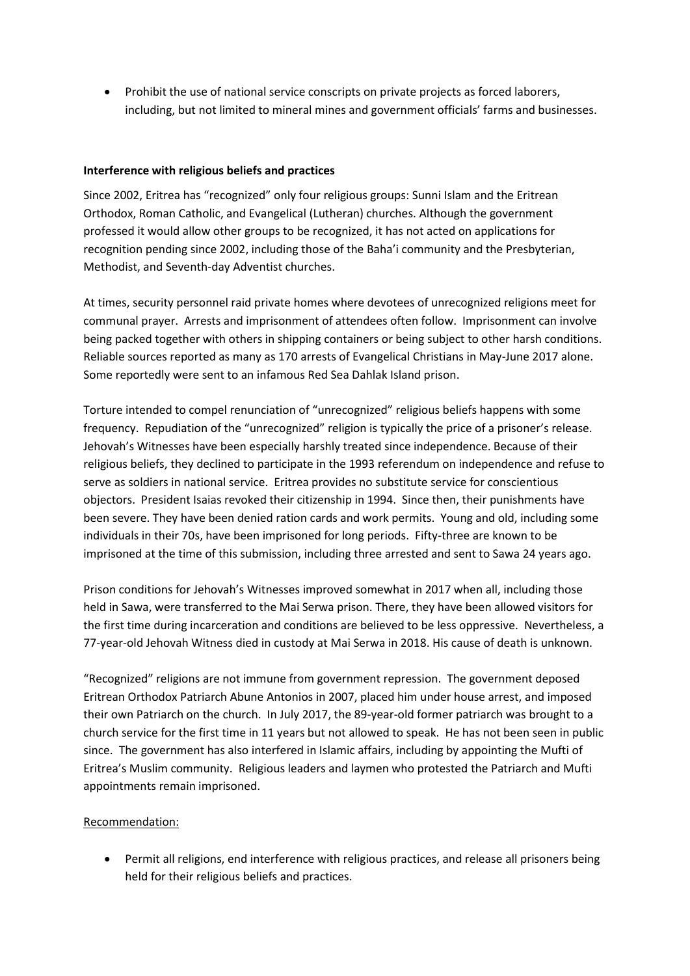Prohibit the use of national service conscripts on private projects as forced laborers, including, but not limited to mineral mines and government officials' farms and businesses.

### **Interference with religious beliefs and practices**

Since 2002, Eritrea has "recognized" only four religious groups: Sunni Islam and the Eritrean Orthodox, Roman Catholic, and Evangelical (Lutheran) churches. Although the government professed it would allow other groups to be recognized, it has not acted on applications for recognition pending since 2002, including those of the Baha'i community and the Presbyterian, Methodist, and Seventh-day Adventist churches.

At times, security personnel raid private homes where devotees of unrecognized religions meet for communal prayer. Arrests and imprisonment of attendees often follow. Imprisonment can involve being packed together with others in shipping containers or being subject to other harsh conditions. Reliable sources reported as many as 170 arrests of Evangelical Christians in May-June 2017 alone. Some reportedly were sent to an infamous Red Sea Dahlak Island prison.

Torture intended to compel renunciation of "unrecognized" religious beliefs happens with some frequency. Repudiation of the "unrecognized" religion is typically the price of a prisoner's release. Jehovah's Witnesses have been especially harshly treated since independence. Because of their religious beliefs, they declined to participate in the 1993 referendum on independence and refuse to serve as soldiers in national service. Eritrea provides no substitute service for conscientious objectors. President Isaias revoked their citizenship in 1994. Since then, their punishments have been severe. They have been denied ration cards and work permits. Young and old, including some individuals in their 70s, have been imprisoned for long periods. Fifty-three are known to be imprisoned at the time of this submission, including three arrested and sent to Sawa 24 years ago.

Prison conditions for Jehovah's Witnesses improved somewhat in 2017 when all, including those held in Sawa, were transferred to the Mai Serwa prison. There, they have been allowed visitors for the first time during incarceration and conditions are believed to be less oppressive. Nevertheless, a 77-year-old Jehovah Witness died in custody at Mai Serwa in 2018. His cause of death is unknown.

"Recognized" religions are not immune from government repression. The government deposed Eritrean Orthodox Patriarch Abune Antonios in 2007, placed him under house arrest, and imposed their own Patriarch on the church. In July 2017, the 89-year-old former patriarch was brought to a church service for the first time in 11 years but not allowed to speak. He has not been seen in public since. The government has also interfered in Islamic affairs, including by appointing the Mufti of Eritrea's Muslim community. Religious leaders and laymen who protested the Patriarch and Mufti appointments remain imprisoned.

# Recommendation:

 Permit all religions, end interference with religious practices, and release all prisoners being held for their religious beliefs and practices.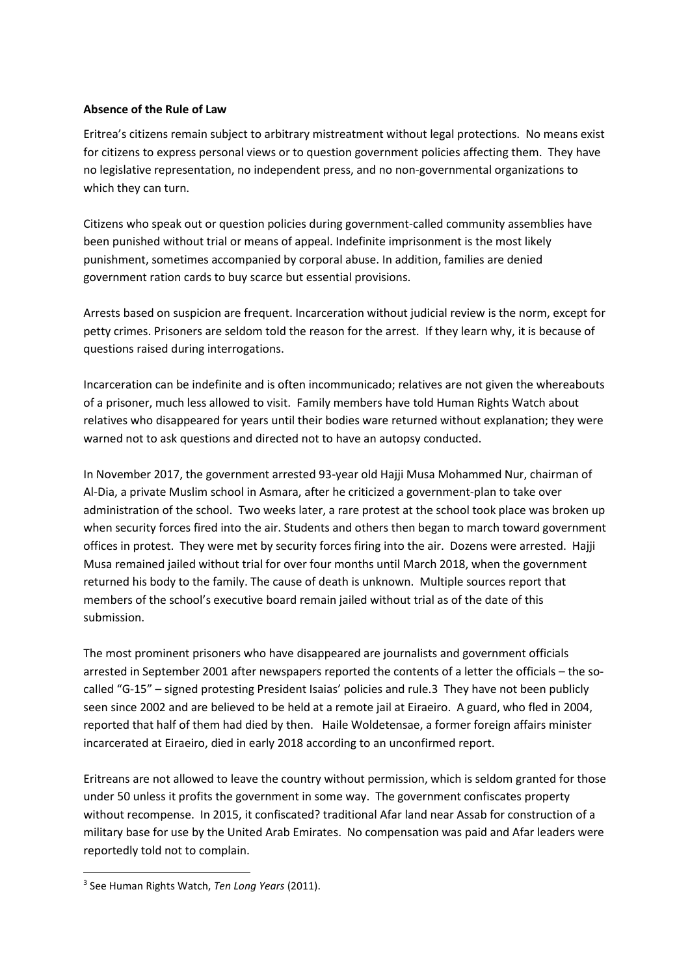### **Absence of the Rule of Law**

Eritrea's citizens remain subject to arbitrary mistreatment without legal protections. No means exist for citizens to express personal views or to question government policies affecting them. They have no legislative representation, no independent press, and no non-governmental organizations to which they can turn.

Citizens who speak out or question policies during government-called community assemblies have been punished without trial or means of appeal. Indefinite imprisonment is the most likely punishment, sometimes accompanied by corporal abuse. In addition, families are denied government ration cards to buy scarce but essential provisions.

Arrests based on suspicion are frequent. Incarceration without judicial review is the norm, except for petty crimes. Prisoners are seldom told the reason for the arrest. If they learn why, it is because of questions raised during interrogations.

Incarceration can be indefinite and is often incommunicado; relatives are not given the whereabouts of a prisoner, much less allowed to visit. Family members have told Human Rights Watch about relatives who disappeared for years until their bodies ware returned without explanation; they were warned not to ask questions and directed not to have an autopsy conducted.

In November 2017, the government arrested 93-year old Hajji Musa Mohammed Nur, chairman of Al-Dia, a private Muslim school in Asmara, after he criticized a government-plan to take over administration of the school. Two weeks later, a rare protest at the school took place was broken up when security forces fired into the air. Students and others then began to march toward government offices in protest. They were met by security forces firing into the air. Dozens were arrested. Hajji Musa remained jailed without trial for over four months until March 2018, when the government returned his body to the family. The cause of death is unknown. Multiple sources report that members of the school's executive board remain jailed without trial as of the date of this submission.

The most prominent prisoners who have disappeared are journalists and government officials arrested in September 2001 after newspapers reported the contents of a letter the officials – the socalled "G-15" – signed protesting President Isaias' policies and rule.3 They have not been publicly seen since 2002 and are believed to be held at a remote jail at Eiraeiro. A guard, who fled in 2004, reported that half of them had died by then. Haile Woldetensae, a former foreign affairs minister incarcerated at Eiraeiro, died in early 2018 according to an unconfirmed report.

Eritreans are not allowed to leave the country without permission, which is seldom granted for those under 50 unless it profits the government in some way. The government confiscates property without recompense. In 2015, it confiscated? traditional Afar land near Assab for construction of a military base for use by the United Arab Emirates. No compensation was paid and Afar leaders were reportedly told not to complain.

**.** 

<sup>3</sup> See Human Rights Watch, *Ten Long Years* (2011).